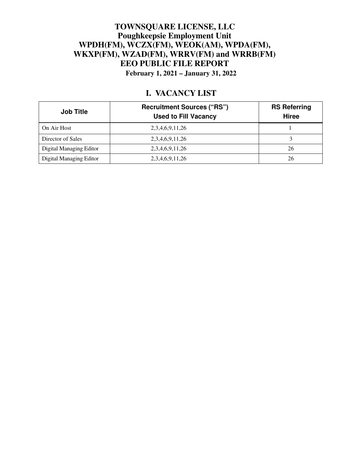### **TOWNSQUARE LICENSE, LLC Poughkeepsie Employment Unit WPDH(FM), WCZX(FM), WEOK(AM), WPDA(FM), WKXP(FM), WZAD(FM), WRRV(FM) and WRRB(FM) EEO PUBLIC FILE REPORT February 1, 2021 – January 31, 2022**

## **I. VACANCY LIST**

| <b>Job Title</b>        | <b>Recruitment Sources ("RS")</b><br><b>Used to Fill Vacancy</b> | <b>RS Referring</b><br><b>Hiree</b> |
|-------------------------|------------------------------------------------------------------|-------------------------------------|
| On Air Host             | 2,3,4,6,9,11,26                                                  |                                     |
| Director of Sales       | 2,3,4,6,9,11,26                                                  |                                     |
| Digital Managing Editor | 2,3,4,6,9,11,26                                                  | 26                                  |
| Digital Managing Editor | 2, 3, 4, 6, 9, 11, 26                                            | 26                                  |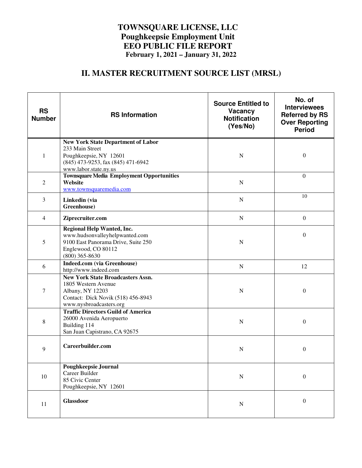### **TOWNSQUARE LICENSE, LLC Poughkeepsie Employment Unit EEO PUBLIC FILE REPORT February 1, 2021 – January 31, 2022**

# **II. MASTER RECRUITMENT SOURCE LIST (MRSL)**

| <b>RS</b><br><b>Number</b> | <b>RS Information</b>                                                                                                                                 | <b>Source Entitled to</b><br><b>Vacancy</b><br><b>Notification</b><br>(Yes/No) | No. of<br><b>Interviewees</b><br><b>Referred by RS</b><br><b>Over Reporting</b><br><b>Period</b> |
|----------------------------|-------------------------------------------------------------------------------------------------------------------------------------------------------|--------------------------------------------------------------------------------|--------------------------------------------------------------------------------------------------|
| 1                          | <b>New York State Department of Labor</b><br>233 Main Street<br>Poughkeepsie, NY 12601<br>(845) 473-9253, fax (845) 471-6942<br>www.labor.state.ny.us | $\mathbf N$                                                                    | $\boldsymbol{0}$                                                                                 |
| 2                          | <b>Townsquare Media Employment Opportunities</b><br>Website<br>www.townsquaremedia.com                                                                | N                                                                              | $\mathbf{0}$                                                                                     |
| 3                          | Linkedin (via<br>Greenhouse)                                                                                                                          | $\mathbf N$                                                                    | 10                                                                                               |
| $\overline{4}$             | Ziprecruiter.com                                                                                                                                      | ${\bf N}$                                                                      | $\overline{0}$                                                                                   |
| 5                          | Regional Help Wanted, Inc.<br>www.hudsonvalleyhelpwanted.com<br>9100 East Panorama Drive, Suite 250<br>Englewood, CO 80112<br>$(800)$ 365-8630        | N                                                                              | $\theta$                                                                                         |
| 6                          | <b>Indeed.com</b> (via Greenhouse)<br>http://www.indeed.com                                                                                           | ${\bf N}$                                                                      | 12                                                                                               |
| 7                          | <b>New York State Broadcasters Assn.</b><br>1805 Western Avenue<br>Albany, NY 12203<br>Contact: Dick Novik (518) 456-8943<br>www.nysbroadcasters.org  | N                                                                              | $\overline{0}$                                                                                   |
| 8                          | <b>Traffic Directors Guild of America</b><br>26000 Avenida Aeropuerto<br>Building 114<br>San Juan Capistrano, CA 92675                                | $\mathbf N$                                                                    | $\boldsymbol{0}$                                                                                 |
| 9                          | Careerbuilder.com                                                                                                                                     | N                                                                              | $\boldsymbol{0}$                                                                                 |
| $10\,$                     | <b>Poughkeepsie Journal</b><br>Career Builder<br>85 Civic Center<br>Poughkeepsie, NY 12601                                                            | ${\bf N}$                                                                      | $\overline{0}$                                                                                   |
| 11                         | <b>Glassdoor</b>                                                                                                                                      | ${\bf N}$                                                                      | $\overline{0}$                                                                                   |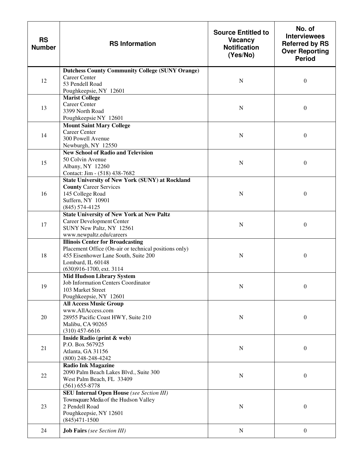| <b>RS</b><br><b>Number</b> | <b>RS Information</b>                                                                                                                                                                     | <b>Source Entitled to</b><br>Vacancy<br><b>Notification</b><br>(Yes/No) | No. of<br><b>Interviewees</b><br><b>Referred by RS</b><br><b>Over Reporting</b><br><b>Period</b> |
|----------------------------|-------------------------------------------------------------------------------------------------------------------------------------------------------------------------------------------|-------------------------------------------------------------------------|--------------------------------------------------------------------------------------------------|
| 12                         | <b>Dutchess County Community College (SUNY Orange)</b><br><b>Career Center</b><br>53 Pendell Road<br>Poughkeepsie, NY 12601                                                               | N                                                                       | $\boldsymbol{0}$                                                                                 |
| 13                         | <b>Marist College</b><br><b>Career Center</b><br>3399 North Road<br>Poughkeepsie NY 12601                                                                                                 | N                                                                       | $\boldsymbol{0}$                                                                                 |
| 14                         | <b>Mount Saint Mary College</b><br><b>Career Center</b><br>300 Powell Avenue<br>Newburgh, NY 12550                                                                                        | N                                                                       | $\boldsymbol{0}$                                                                                 |
| 15                         | <b>New School of Radio and Television</b><br>50 Colvin Avenue<br>Albany, NY 12260<br>Contact: Jim - (518) 438-7682                                                                        | N                                                                       | $\boldsymbol{0}$                                                                                 |
| 16                         | <b>State University of New York (SUNY) at Rockland</b><br><b>County Career Services</b><br>145 College Road<br>Suffern, NY 10901<br>$(845)$ 574-4125                                      | N                                                                       | $\theta$                                                                                         |
| 17                         | <b>State University of New York at New Paltz</b><br>Career Development Center<br>SUNY New Paltz, NY 12561<br>www.newpaltz.edu/careers                                                     | N                                                                       | $\boldsymbol{0}$                                                                                 |
| 18                         | <b>Illinois Center for Broadcasting</b><br>Placement Office (On-air or technical positions only)<br>455 Eisenhower Lane South, Suite 200<br>Lombard, IL 60148<br>(630)916-1700, ext. 3114 | N                                                                       | $\boldsymbol{0}$                                                                                 |
| 19                         | <b>Mid Hudson Library System</b><br>Job Information Centers Coordinator<br>103 Market Street<br>Poughkeepsie, NY 12601                                                                    | N                                                                       | $\overline{0}$                                                                                   |
| 20                         | <b>All Access Music Group</b><br>www.AllAccess.com<br>28955 Pacific Coast HWY, Suite 210<br>Malibu, CA 90265<br>$(310)$ 457-6616                                                          | N                                                                       | $\boldsymbol{0}$                                                                                 |
| 21                         | Inside Radio (print & web)<br>P.O. Box 567925<br>Atlanta, GA 31156<br>$(800)$ 248-248-4242                                                                                                | ${\bf N}$                                                               | $\boldsymbol{0}$                                                                                 |
| 22                         | <b>Radio Ink Magazine</b><br>2090 Palm Beach Lakes Blvd., Suite 300<br>West Palm Beach, FL 33409<br>$(561) 655 - 8778$                                                                    | $\mathbf N$                                                             | $\boldsymbol{0}$                                                                                 |
| 23                         | <b>SEU Internal Open House</b> (see Section III)<br>Townsquare Media of the Hudson Valley<br>2 Pendell Road<br>Poughkeepsie, NY 12601<br>$(845)471 - 1500$                                | N                                                                       | $\boldsymbol{0}$                                                                                 |
| 24                         | <b>Job Fairs</b> (see Section III)                                                                                                                                                        | $\mathbf N$                                                             | $\boldsymbol{0}$                                                                                 |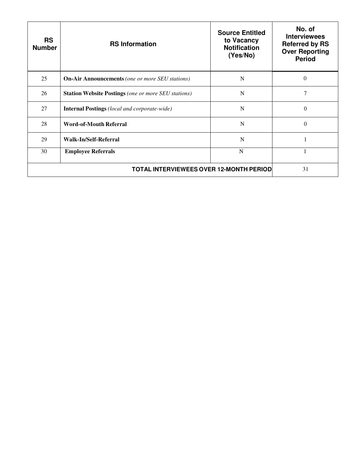| <b>RS</b><br><b>Number</b>                     | <b>RS Information</b>                                      | <b>Source Entitled</b><br>to Vacancy<br><b>Notification</b><br>(Yes/No) | No. of<br><b>Interviewees</b><br><b>Referred by RS</b><br><b>Over Reporting</b><br><b>Period</b> |
|------------------------------------------------|------------------------------------------------------------|-------------------------------------------------------------------------|--------------------------------------------------------------------------------------------------|
| 25                                             | <b>On-Air Announcements</b> (one or more SEU stations)     | N                                                                       | $\Omega$                                                                                         |
| 26                                             | <b>Station Website Postings</b> (one or more SEU stations) | N                                                                       | 7                                                                                                |
| 27                                             | <b>Internal Postings</b> (local and corporate-wide)        | N                                                                       | $\Omega$                                                                                         |
| 28                                             | <b>Word-of-Mouth Referral</b>                              | N                                                                       | $\Omega$                                                                                         |
| 29                                             | Walk-In/Self-Referral                                      | N                                                                       |                                                                                                  |
| 30                                             | <b>Employee Referrals</b>                                  | N                                                                       |                                                                                                  |
| <b>TOTAL INTERVIEWEES OVER 12-MONTH PERIOD</b> |                                                            | 31                                                                      |                                                                                                  |